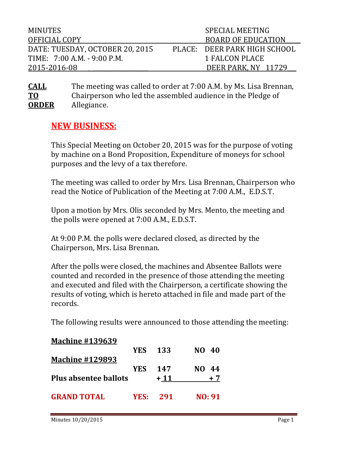| <b>MINUTES</b>                  | SPECIAL MEETING |                              |  |
|---------------------------------|-----------------|------------------------------|--|
| OFFICIAL COPY                   |                 | <b>BOARD OF EDUCATION</b>    |  |
| DATE: TUESDAY, OCTOBER 20, 2015 |                 | PLACE: DEER PARK HIGH SCHOOL |  |
| TIME: 7:00 A.M. - 9:00 P.M.     |                 | 1 FALCON PLACE               |  |
| 2015-2016-08                    |                 | DEER PARK, NY 11729          |  |

**CALL** The meeting was called to order at 7:00 A.M. by Ms. Lisa Brennan, **TO** Chairperson who led the assembled audience in the Pledge of Allegiance.

## **NEW BUSINESS:**

This Special Meeting on October 20, 2015 was for the purpose of voting by machine on a Bond Proposition, Expenditure of moneys for school purposes and the levy of a tax therefore.

The meeting was called to order by Mrs. Lisa Brennan, Chairperson who read the Notice of Publication of the Meeting at 7:00 A.M., E.D.S.T.

Upon a motion by Mrs. Olis seconded by Mrs. Mento, the meeting and the polls were opened at 7:00 A.M., E.D.S.T.

At 9:00 P.M. the polls were declared closed, as directed by the Chairperson, Mrs. Lisa Brennan.

After the polls were closed, the machines and Absentee Ballots were counted and recorded in the presence of those attending the meeting and executed and filed with the Chairperson, a certificate showing the results of voting, which is hereto attached in file and made part of the records.

The following results were announced to those attending the meeting:

| <b>Machine #139639</b>       |                |       |                |
|------------------------------|----------------|-------|----------------|
|                              | <b>YES</b> 133 |       | NO 40          |
| <b>Machine #129893</b>       |                |       |                |
|                              | YES.           | 147   | NO -<br>44     |
| <b>Plus absentee ballots</b> |                | $+11$ | + 7            |
|                              |                |       |                |
| <b>GRAND TOTAL</b>           | YES:           | 291   | <b>NO</b> : 91 |
|                              |                |       |                |